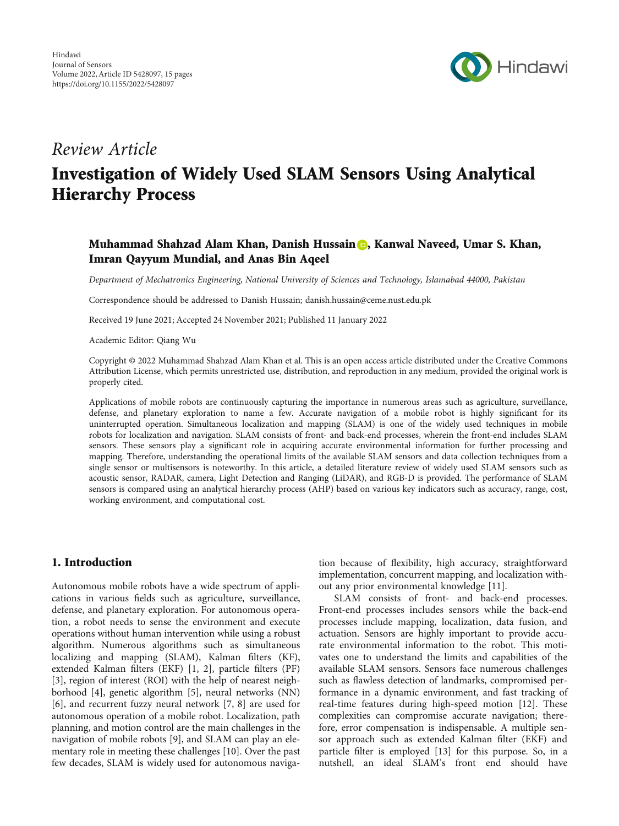

## Review Article

# Investigation of Widely Used SLAM Sensors Using Analytical Hierarchy Process

### Muhammad Shahzad Alam Khan, Danish Hussain **D**, Kanwal Naveed, Umar S. Khan, Imran Qayyum Mundial, and Anas Bin Aqeel

Department of Mechatronics Engineering, National University of Sciences and Technology, Islamabad 44000, Pakistan

Correspondence should be addressed to Danish Hussain; danish.hussain@ceme.nust.edu.pk

Received 19 June 2021; Accepted 24 November 2021; Published 11 January 2022

Academic Editor: Qiang Wu

Copyright © 2022 Muhammad Shahzad Alam Khan et al. This is an open access article distributed under the [Creative Commons](https://creativecommons.org/licenses/by/4.0/) [Attribution License,](https://creativecommons.org/licenses/by/4.0/) which permits unrestricted use, distribution, and reproduction in any medium, provided the original work is properly cited.

Applications of mobile robots are continuously capturing the importance in numerous areas such as agriculture, surveillance, defense, and planetary exploration to name a few. Accurate navigation of a mobile robot is highly significant for its uninterrupted operation. Simultaneous localization and mapping (SLAM) is one of the widely used techniques in mobile robots for localization and navigation. SLAM consists of front- and back-end processes, wherein the front-end includes SLAM sensors. These sensors play a significant role in acquiring accurate environmental information for further processing and mapping. Therefore, understanding the operational limits of the available SLAM sensors and data collection techniques from a single sensor or multisensors is noteworthy. In this article, a detailed literature review of widely used SLAM sensors such as acoustic sensor, RADAR, camera, Light Detection and Ranging (LiDAR), and RGB-D is provided. The performance of SLAM sensors is compared using an analytical hierarchy process (AHP) based on various key indicators such as accuracy, range, cost, working environment, and computational cost.

### 1. Introduction

Autonomous mobile robots have a wide spectrum of applications in various fields such as agriculture, surveillance, defense, and planetary exploration. For autonomous operation, a robot needs to sense the environment and execute operations without human intervention while using a robust algorithm. Numerous algorithms such as simultaneous localizing and mapping (SLAM), Kalman filters (KF), extended Kalman filters (EKF) [[1, 2](#page-11-0)], particle filters (PF) [\[3](#page-11-0)], region of interest (ROI) with the help of nearest neighborhood [[4](#page-11-0)], genetic algorithm [[5\]](#page-11-0), neural networks (NN) [\[6](#page-11-0)], and recurrent fuzzy neural network [[7, 8](#page-11-0)] are used for autonomous operation of a mobile robot. Localization, path planning, and motion control are the main challenges in the navigation of mobile robots [[9](#page-11-0)], and SLAM can play an elementary role in meeting these challenges [\[10\]](#page-11-0). Over the past few decades, SLAM is widely used for autonomous navigation because of flexibility, high accuracy, straightforward implementation, concurrent mapping, and localization without any prior environmental knowledge [\[11](#page-11-0)].

SLAM consists of front- and back-end processes. Front-end processes includes sensors while the back-end processes include mapping, localization, data fusion, and actuation. Sensors are highly important to provide accurate environmental information to the robot. This motivates one to understand the limits and capabilities of the available SLAM sensors. Sensors face numerous challenges such as flawless detection of landmarks, compromised performance in a dynamic environment, and fast tracking of real-time features during high-speed motion [[12\]](#page-11-0). These complexities can compromise accurate navigation; therefore, error compensation is indispensable. A multiple sensor approach such as extended Kalman filter (EKF) and particle filter is employed [[13](#page-11-0)] for this purpose. So, in a nutshell, an ideal SLAM's front end should have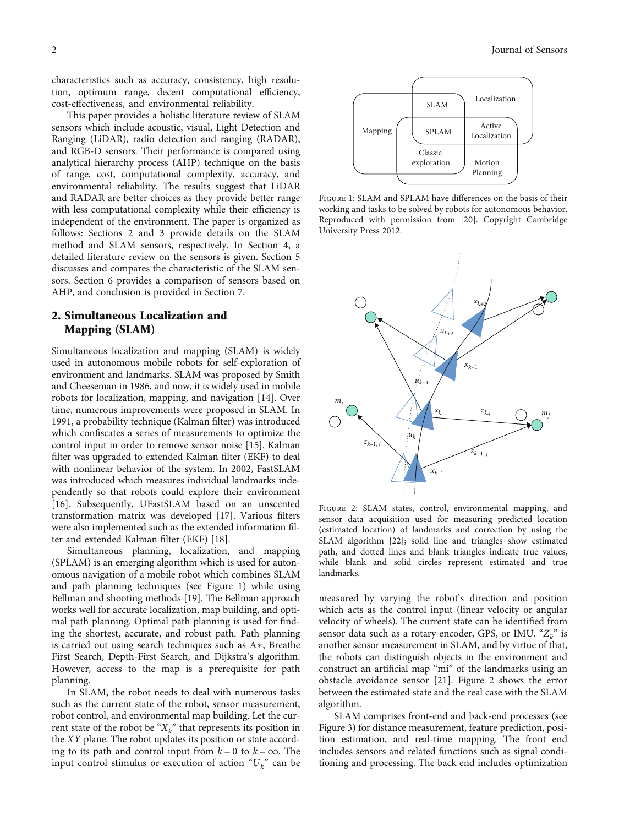characteristics such as accuracy, consistency, high resolution, optimum range, decent computational efficiency, cost-effectiveness, and environmental reliability.

This paper provides a holistic literature review of SLAM sensors which include acoustic, visual, Light Detection and Ranging (LiDAR), radio detection and ranging (RADAR), and RGB-D sensors. Their performance is compared using analytical hierarchy process (AHP) technique on the basis of range, cost, computational complexity, accuracy, and environmental reliability. The results suggest that LiDAR and RADAR are better choices as they provide better range with less computational complexity while their efficiency is independent of the environment. The paper is organized as follows: Sections 2 and [3](#page-3-0) provide details on the SLAM method and SLAM sensors, respectively. In Section [4](#page-5-0), a detailed literature review on the sensors is given. Section [5](#page-7-0) discusses and compares the characteristic of the SLAM sensors. Section [6](#page-9-0) provides a comparison of sensors based on AHP, and conclusion is provided in Section [7](#page-10-0).

### 2. Simultaneous Localization and Mapping (SLAM)

Simultaneous localization and mapping (SLAM) is widely used in autonomous mobile robots for self-exploration of environment and landmarks. SLAM was proposed by Smith and Cheeseman in 1986, and now, it is widely used in mobile robots for localization, mapping, and navigation [[14](#page-11-0)]. Over time, numerous improvements were proposed in SLAM. In 1991, a probability technique (Kalman filter) was introduced which confiscates a series of measurements to optimize the control input in order to remove sensor noise [\[15\]](#page-11-0). Kalman filter was upgraded to extended Kalman filter (EKF) to deal with nonlinear behavior of the system. In 2002, FastSLAM was introduced which measures individual landmarks independently so that robots could explore their environment [\[16](#page-11-0)]. Subsequently, UFastSLAM based on an unscented transformation matrix was developed [\[17\]](#page-11-0). Various filters were also implemented such as the extended information filter and extended Kalman filter (EKF) [[18\]](#page-11-0).

Simultaneous planning, localization, and mapping (SPLAM) is an emerging algorithm which is used for autonomous navigation of a mobile robot which combines SLAM and path planning techniques (see Figure 1) while using Bellman and shooting methods [[19](#page-11-0)]. The Bellman approach works well for accurate localization, map building, and optimal path planning. Optimal path planning is used for finding the shortest, accurate, and robust path. Path planning is carried out using search techniques such as A∗, Breathe First Search, Depth-First Search, and Dijkstra's algorithm. However, access to the map is a prerequisite for path planning.

In SLAM, the robot needs to deal with numerous tasks such as the current state of the robot, sensor measurement, robot control, and environmental map building. Let the current state of the robot be " $X_k$ " that represents its position in the *XY* plane. The robot updates its position or state according to its path and control input from  $k = 0$  to  $k = \infty$ . The input control stimulus or execution of action "*Uk*" can be



Figure 1: SLAM and SPLAM have differences on the basis of their working and tasks to be solved by robots for autonomous behavior. Reproduced with permission from [[20](#page-11-0)]. Copyright Cambridge University Press 2012.



Figure 2: SLAM states, control, environmental mapping, and sensor data acquisition used for measuring predicted location (estimated location) of landmarks and correction by using the SLAM algorithm [\[22\]](#page-11-0); solid line and triangles show estimated path, and dotted lines and blank triangles indicate true values, while blank and solid circles represent estimated and true landmarks.

measured by varying the robot's direction and position which acts as the control input (linear velocity or angular velocity of wheels). The current state can be identified from sensor data such as a rotary encoder, GPS, or IMU. "*Zk*" is another sensor measurement in SLAM, and by virtue of that, the robots can distinguish objects in the environment and construct an artificial map "mi" of the landmarks using an obstacle avoidance sensor [[21\]](#page-11-0). Figure 2 shows the error between the estimated state and the real case with the SLAM algorithm.

SLAM comprises front-end and back-end processes (see Figure [3\)](#page-2-0) for distance measurement, feature prediction, position estimation, and real-time mapping. The front end includes sensors and related functions such as signal conditioning and processing. The back end includes optimization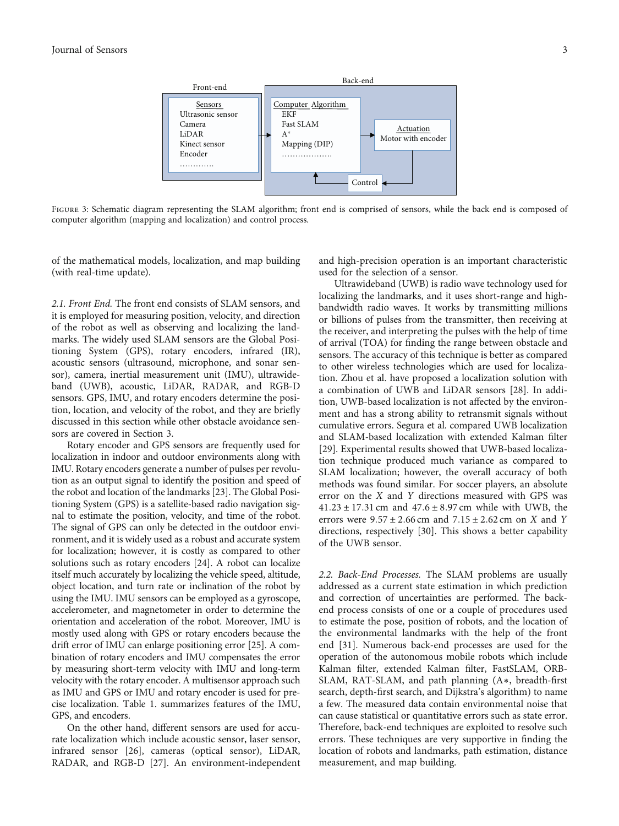<span id="page-2-0"></span>

FIGURE 3: Schematic diagram representing the SLAM algorithm; front end is comprised of sensors, while the back end is composed of computer algorithm (mapping and localization) and control process.

of the mathematical models, localization, and map building (with real-time update).

and high-precision operation is an important characteristic used for the selection of a sensor.

2.1. Front End. The front end consists of SLAM sensors, and it is employed for measuring position, velocity, and direction of the robot as well as observing and localizing the landmarks. The widely used SLAM sensors are the Global Positioning System (GPS), rotary encoders, infrared (IR), acoustic sensors (ultrasound, microphone, and sonar sensor), camera, inertial measurement unit (IMU), ultrawideband (UWB), acoustic, LiDAR, RADAR, and RGB-D sensors. GPS, IMU, and rotary encoders determine the position, location, and velocity of the robot, and they are briefly discussed in this section while other obstacle avoidance sensors are covered in Section [3](#page-3-0).

Rotary encoder and GPS sensors are frequently used for localization in indoor and outdoor environments along with IMU. Rotary encoders generate a number of pulses per revolution as an output signal to identify the position and speed of the robot and location of the landmarks [[23](#page-12-0)]. The Global Positioning System (GPS) is a satellite-based radio navigation signal to estimate the position, velocity, and time of the robot. The signal of GPS can only be detected in the outdoor environment, and it is widely used as a robust and accurate system for localization; however, it is costly as compared to other solutions such as rotary encoders [\[24](#page-12-0)]. A robot can localize itself much accurately by localizing the vehicle speed, altitude, object location, and turn rate or inclination of the robot by using the IMU. IMU sensors can be employed as a gyroscope, accelerometer, and magnetometer in order to determine the orientation and acceleration of the robot. Moreover, IMU is mostly used along with GPS or rotary encoders because the drift error of IMU can enlarge positioning error [[25\]](#page-12-0). A combination of rotary encoders and IMU compensates the error by measuring short-term velocity with IMU and long-term velocity with the rotary encoder. A multisensor approach such as IMU and GPS or IMU and rotary encoder is used for precise localization. Table [1.](#page-3-0) summarizes features of the IMU, GPS, and encoders.

On the other hand, different sensors are used for accurate localization which include acoustic sensor, laser sensor, infrared sensor [\[26](#page-12-0)], cameras (optical sensor), LiDAR, RADAR, and RGB-D [[27](#page-12-0)]. An environment-independent

Ultrawideband (UWB) is radio wave technology used for localizing the landmarks, and it uses short-range and highbandwidth radio waves. It works by transmitting millions or billions of pulses from the transmitter, then receiving at the receiver, and interpreting the pulses with the help of time of arrival (TOA) for finding the range between obstacle and sensors. The accuracy of this technique is better as compared to other wireless technologies which are used for localization. Zhou et al. have proposed a localization solution with a combination of UWB and LiDAR sensors [\[28](#page-12-0)]. In addition, UWB-based localization is not affected by the environment and has a strong ability to retransmit signals without cumulative errors. Segura et al. compared UWB localization and SLAM-based localization with extended Kalman filter [\[29](#page-12-0)]. Experimental results showed that UWB-based localization technique produced much variance as compared to SLAM localization; however, the overall accuracy of both methods was found similar. For soccer players, an absolute error on the *X* and *Y* directions measured with GPS was 41*:*23 ± 17*:*31 cm and 47*:*6±8*:*97 cm while with UWB, the errors were 9*:*57 ± 2*:*66 cm and 7*:*15 ± 2*:*62 cm on *X* and *Y* directions, respectively [\[30\]](#page-12-0). This shows a better capability of the UWB sensor.

2.2. Back-End Processes. The SLAM problems are usually addressed as a current state estimation in which prediction and correction of uncertainties are performed. The backend process consists of one or a couple of procedures used to estimate the pose, position of robots, and the location of the environmental landmarks with the help of the front end [[31](#page-12-0)]. Numerous back-end processes are used for the operation of the autonomous mobile robots which include Kalman filter, extended Kalman filter, FastSLAM, ORB-SLAM, RAT-SLAM, and path planning (A∗, breadth-first search, depth-first search, and Dijkstra's algorithm) to name a few. The measured data contain environmental noise that can cause statistical or quantitative errors such as state error. Therefore, back-end techniques are exploited to resolve such errors. These techniques are very supportive in finding the location of robots and landmarks, path estimation, distance measurement, and map building.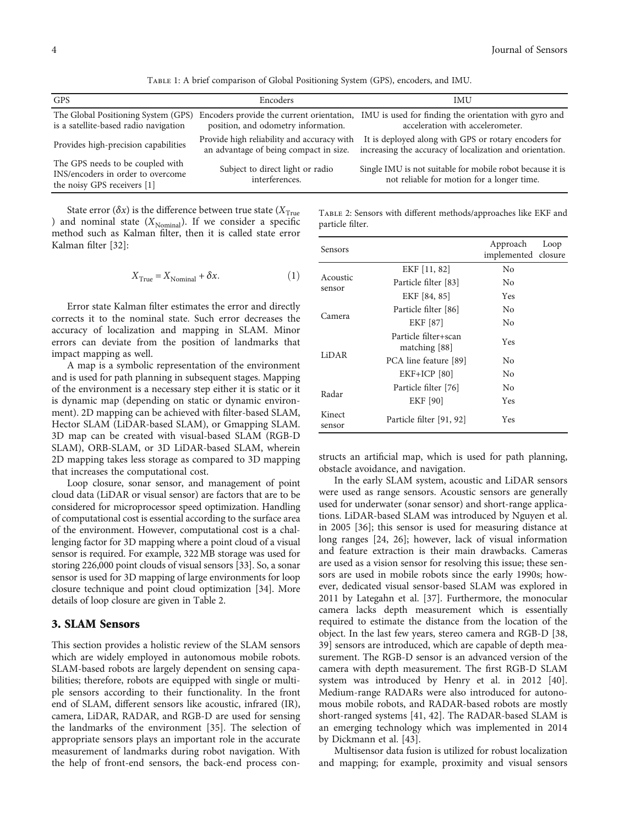Table 1: A brief comparison of Global Positioning System (GPS), encoders, and IMU.

<span id="page-3-0"></span>

| <b>GPS</b>                                                                                           | Encoders                                                                             | <b>IMU</b>                                                                                                                          |
|------------------------------------------------------------------------------------------------------|--------------------------------------------------------------------------------------|-------------------------------------------------------------------------------------------------------------------------------------|
| The Global Positioning System (GPS)<br>is a satellite-based radio navigation                         | position, and odometry information.                                                  | Encoders provide the current orientation, IMU is used for finding the orientation with gyro and<br>acceleration with accelerometer. |
| Provides high-precision capabilities                                                                 | Provide high reliability and accuracy with<br>an advantage of being compact in size. | It is deployed along with GPS or rotary encoders for<br>increasing the accuracy of localization and orientation.                    |
| The GPS needs to be coupled with<br>INS/encoders in order to overcome<br>the noisy GPS receivers [1] | Subject to direct light or radio<br>interferences.                                   | Single IMU is not suitable for mobile robot because it is<br>not reliable for motion for a longer time.                             |

State error ( $\delta x$ ) is the difference between true state ( $X_{\text{True}}$ ) and nominal state  $(X_{\text{Nominal}})$ . If we consider a specific method such as Kalman filter, then it is called state error Kalman filter [[32](#page-12-0)]:

$$
X_{\text{True}} = X_{\text{Nominal}} + \delta x. \tag{1}
$$

Error state Kalman filter estimates the error and directly corrects it to the nominal state. Such error decreases the accuracy of localization and mapping in SLAM. Minor errors can deviate from the position of landmarks that impact mapping as well.

A map is a symbolic representation of the environment and is used for path planning in subsequent stages. Mapping of the environment is a necessary step either it is static or it is dynamic map (depending on static or dynamic environment). 2D mapping can be achieved with filter-based SLAM, Hector SLAM (LiDAR-based SLAM), or Gmapping SLAM. 3D map can be created with visual-based SLAM (RGB-D SLAM), ORB-SLAM, or 3D LiDAR-based SLAM, wherein 2D mapping takes less storage as compared to 3D mapping that increases the computational cost.

Loop closure, sonar sensor, and management of point cloud data (LiDAR or visual sensor) are factors that are to be considered for microprocessor speed optimization. Handling of computational cost is essential according to the surface area of the environment. However, computational cost is a challenging factor for 3D mapping where a point cloud of a visual sensor is required. For example, 322MB storage was used for storing 226,000 point clouds of visual sensors [[33](#page-12-0)]. So, a sonar sensor is used for 3D mapping of large environments for loop closure technique and point cloud optimization [[34](#page-12-0)]. More details of loop closure are given in Table 2.

### 3. SLAM Sensors

This section provides a holistic review of the SLAM sensors which are widely employed in autonomous mobile robots. SLAM-based robots are largely dependent on sensing capabilities; therefore, robots are equipped with single or multiple sensors according to their functionality. In the front end of SLAM, different sensors like acoustic, infrared (IR), camera, LiDAR, RADAR, and RGB-D are used for sensing the landmarks of the environment [[35](#page-12-0)]. The selection of appropriate sensors plays an important role in the accurate measurement of landmarks during robot navigation. With the help of front-end sensors, the back-end process con-

Table 2: Sensors with different methods/approaches like EKF and particle filter.

| Sensors            |                                         | Approach<br>implemented closure | Loop |
|--------------------|-----------------------------------------|---------------------------------|------|
|                    | EKF [11, 82]                            | No.                             |      |
| Acoustic<br>sensor | Particle filter [83]                    | No.                             |      |
|                    | EKF [84, 85]                            | <b>Yes</b>                      |      |
|                    | Particle filter [86]                    | No.                             |      |
| Camera             | EKF [87]                                | No.                             |      |
| LiDAR              | Particle filter+scan<br>matching $[88]$ | Yes                             |      |
|                    | PCA line feature [89]                   | No.                             |      |
|                    | $EKF+ICP$ [80]                          | No.                             |      |
| Radar              | Particle filter [76]                    | No.                             |      |
|                    | <b>EKF</b> [90]                         | <b>Yes</b>                      |      |
| Kinect<br>sensor   | Particle filter [91, 92]                | Yes                             |      |

structs an artificial map, which is used for path planning, obstacle avoidance, and navigation.

In the early SLAM system, acoustic and LiDAR sensors were used as range sensors. Acoustic sensors are generally used for underwater (sonar sensor) and short-range applications. LiDAR-based SLAM was introduced by Nguyen et al. in 2005 [\[36\]](#page-12-0); this sensor is used for measuring distance at long ranges [[24, 26\]](#page-12-0); however, lack of visual information and feature extraction is their main drawbacks. Cameras are used as a vision sensor for resolving this issue; these sensors are used in mobile robots since the early 1990s; however, dedicated visual sensor-based SLAM was explored in 2011 by Lategahn et al. [[37](#page-12-0)]. Furthermore, the monocular camera lacks depth measurement which is essentially required to estimate the distance from the location of the object. In the last few years, stereo camera and RGB-D [\[38,](#page-12-0) [39\]](#page-12-0) sensors are introduced, which are capable of depth measurement. The RGB-D sensor is an advanced version of the camera with depth measurement. The first RGB-D SLAM system was introduced by Henry et al. in 2012 [[40](#page-12-0)]. Medium-range RADARs were also introduced for autonomous mobile robots, and RADAR-based robots are mostly short-ranged systems [[41, 42](#page-12-0)]. The RADAR-based SLAM is an emerging technology which was implemented in 2014 by Dickmann et al. [[43](#page-12-0)].

Multisensor data fusion is utilized for robust localization and mapping; for example, proximity and visual sensors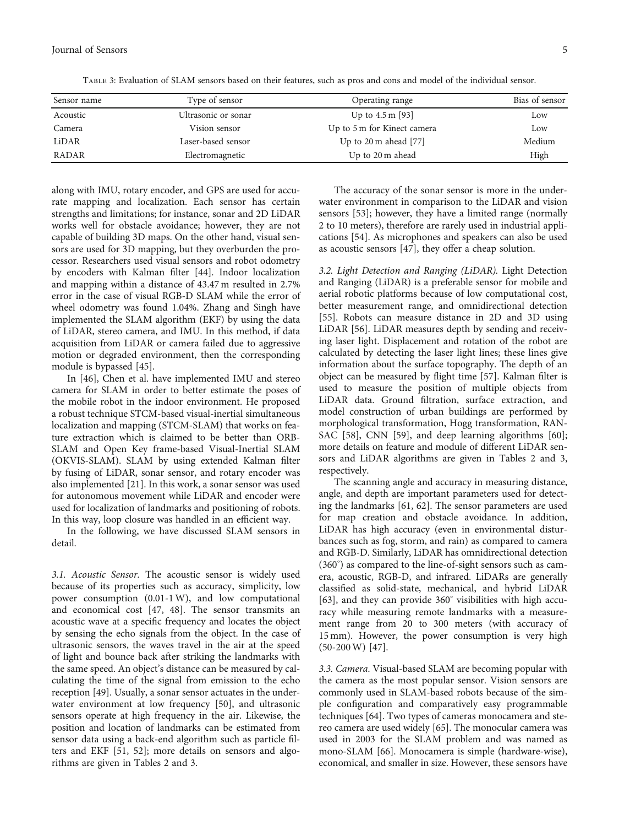<span id="page-4-0"></span>

| Sensor name  | Type of sensor      | Operating range                 | Bias of sensor |
|--------------|---------------------|---------------------------------|----------------|
| Acoustic     | Ultrasonic or sonar | Up to $4.5 \text{ m}$ [93]      | Low            |
| Camera       | Vision sensor       | Up to 5 m for Kinect camera     | Low            |
| LiDAR        | Laser-based sensor  | Up to $20 \text{ m}$ ahead [77] | Medium         |
| <b>RADAR</b> | Electromagnetic     | Up to 20 m ahead                | High           |

Table 3: Evaluation of SLAM sensors based on their features, such as pros and cons and model of the individual sensor.

along with IMU, rotary encoder, and GPS are used for accurate mapping and localization. Each sensor has certain strengths and limitations; for instance, sonar and 2D LiDAR works well for obstacle avoidance; however, they are not capable of building 3D maps. On the other hand, visual sensors are used for 3D mapping, but they overburden the processor. Researchers used visual sensors and robot odometry by encoders with Kalman filter [\[44\]](#page-12-0). Indoor localization and mapping within a distance of 43.47 m resulted in 2.7% error in the case of visual RGB-D SLAM while the error of wheel odometry was found 1.04%. Zhang and Singh have implemented the SLAM algorithm (EKF) by using the data of LiDAR, stereo camera, and IMU. In this method, if data acquisition from LiDAR or camera failed due to aggressive motion or degraded environment, then the corresponding module is bypassed [[45](#page-12-0)].

In [[46](#page-12-0)], Chen et al. have implemented IMU and stereo camera for SLAM in order to better estimate the poses of the mobile robot in the indoor environment. He proposed a robust technique STCM-based visual-inertial simultaneous localization and mapping (STCM-SLAM) that works on feature extraction which is claimed to be better than ORB-SLAM and Open Key frame-based Visual-Inertial SLAM (OKVIS-SLAM). SLAM by using extended Kalman filter by fusing of LiDAR, sonar sensor, and rotary encoder was also implemented [\[21\]](#page-11-0). In this work, a sonar sensor was used for autonomous movement while LiDAR and encoder were used for localization of landmarks and positioning of robots. In this way, loop closure was handled in an efficient way.

In the following, we have discussed SLAM sensors in detail.

3.1. Acoustic Sensor. The acoustic sensor is widely used because of its properties such as accuracy, simplicity, low power consumption (0.01-1W), and low computational and economical cost [[47, 48](#page-12-0)]. The sensor transmits an acoustic wave at a specific frequency and locates the object by sensing the echo signals from the object. In the case of ultrasonic sensors, the waves travel in the air at the speed of light and bounce back after striking the landmarks with the same speed. An object's distance can be measured by calculating the time of the signal from emission to the echo reception [\[49\]](#page-12-0). Usually, a sonar sensor actuates in the underwater environment at low frequency [[50](#page-12-0)], and ultrasonic sensors operate at high frequency in the air. Likewise, the position and location of landmarks can be estimated from sensor data using a back-end algorithm such as particle filters and EKF [\[51, 52\]](#page-12-0); more details on sensors and algorithms are given in Tables [2](#page-3-0) and 3.

The accuracy of the sonar sensor is more in the underwater environment in comparison to the LiDAR and vision sensors [\[53\]](#page-12-0); however, they have a limited range (normally 2 to 10 meters), therefore are rarely used in industrial applications [[54](#page-13-0)]. As microphones and speakers can also be used as acoustic sensors [[47](#page-12-0)], they offer a cheap solution.

3.2. Light Detection and Ranging (LiDAR). Light Detection and Ranging (LiDAR) is a preferable sensor for mobile and aerial robotic platforms because of low computational cost, better measurement range, and omnidirectional detection [\[55\]](#page-13-0). Robots can measure distance in 2D and 3D using LiDAR [[56](#page-13-0)]. LiDAR measures depth by sending and receiving laser light. Displacement and rotation of the robot are calculated by detecting the laser light lines; these lines give information about the surface topography. The depth of an object can be measured by flight time [[57](#page-13-0)]. Kalman filter is used to measure the position of multiple objects from LiDAR data. Ground filtration, surface extraction, and model construction of urban buildings are performed by morphological transformation, Hogg transformation, RAN-SAC [\[58\]](#page-13-0), CNN [\[59\]](#page-13-0), and deep learning algorithms [[60](#page-13-0)]; more details on feature and module of different LiDAR sensors and LiDAR algorithms are given in Tables [2](#page-3-0) and 3, respectively.

The scanning angle and accuracy in measuring distance, angle, and depth are important parameters used for detecting the landmarks [[61](#page-13-0), [62](#page-13-0)]. The sensor parameters are used for map creation and obstacle avoidance. In addition, LiDAR has high accuracy (even in environmental disturbances such as fog, storm, and rain) as compared to camera and RGB-D. Similarly, LiDAR has omnidirectional detection (360° ) as compared to the line-of-sight sensors such as camera, acoustic, RGB-D, and infrared. LiDARs are generally classified as solid-state, mechanical, and hybrid LiDAR [\[63\]](#page-13-0), and they can provide 360° visibilities with high accuracy while measuring remote landmarks with a measurement range from 20 to 300 meters (with accuracy of 15 mm). However, the power consumption is very high (50-200W) [\[47\]](#page-12-0).

3.3. Camera. Visual-based SLAM are becoming popular with the camera as the most popular sensor. Vision sensors are commonly used in SLAM-based robots because of the simple configuration and comparatively easy programmable techniques [[64](#page-13-0)]. Two types of cameras monocamera and stereo camera are used widely [\[65\]](#page-13-0). The monocular camera was used in 2003 for the SLAM problem and was named as mono-SLAM [[66](#page-13-0)]. Monocamera is simple (hardware-wise), economical, and smaller in size. However, these sensors have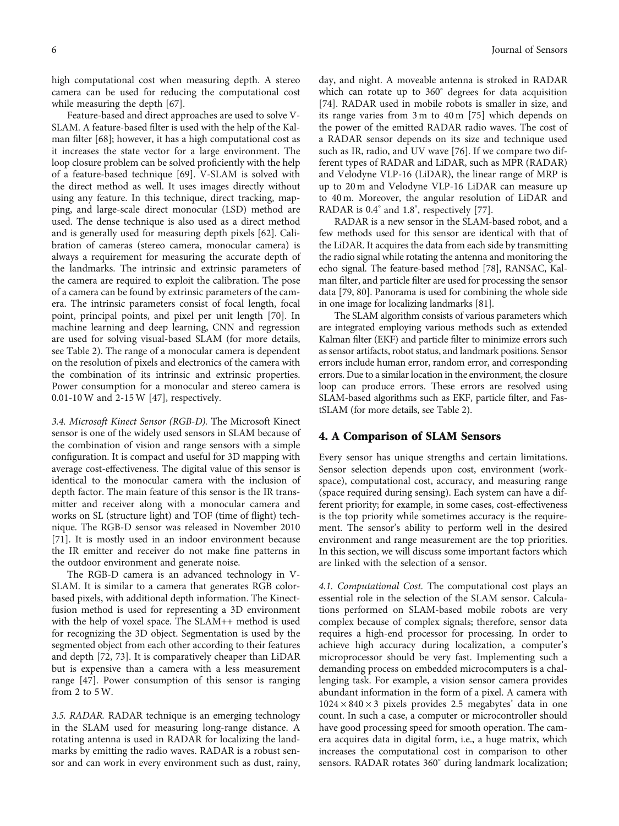<span id="page-5-0"></span>high computational cost when measuring depth. A stereo camera can be used for reducing the computational cost while measuring the depth [\[67\]](#page-13-0).

Feature-based and direct approaches are used to solve V-SLAM. A feature-based filter is used with the help of the Kalman filter [\[68\]](#page-13-0); however, it has a high computational cost as it increases the state vector for a large environment. The loop closure problem can be solved proficiently with the help of a feature-based technique [\[69\]](#page-13-0). V-SLAM is solved with the direct method as well. It uses images directly without using any feature. In this technique, direct tracking, mapping, and large-scale direct monocular (LSD) method are used. The dense technique is also used as a direct method and is generally used for measuring depth pixels [\[62\]](#page-13-0). Calibration of cameras (stereo camera, monocular camera) is always a requirement for measuring the accurate depth of the landmarks. The intrinsic and extrinsic parameters of the camera are required to exploit the calibration. The pose of a camera can be found by extrinsic parameters of the camera. The intrinsic parameters consist of focal length, focal point, principal points, and pixel per unit length [[70](#page-13-0)]. In machine learning and deep learning, CNN and regression are used for solving visual-based SLAM (for more details, see Table [2](#page-3-0)). The range of a monocular camera is dependent on the resolution of pixels and electronics of the camera with the combination of its intrinsic and extrinsic properties. Power consumption for a monocular and stereo camera is 0.01-10W and 2-15W [[47](#page-12-0)], respectively.

3.4. Microsoft Kinect Sensor (RGB-D). The Microsoft Kinect sensor is one of the widely used sensors in SLAM because of the combination of vision and range sensors with a simple configuration. It is compact and useful for 3D mapping with average cost-effectiveness. The digital value of this sensor is identical to the monocular camera with the inclusion of depth factor. The main feature of this sensor is the IR transmitter and receiver along with a monocular camera and works on SL (structure light) and TOF (time of flight) technique. The RGB-D sensor was released in November 2010 [\[71](#page-13-0)]. It is mostly used in an indoor environment because the IR emitter and receiver do not make fine patterns in the outdoor environment and generate noise.

The RGB-D camera is an advanced technology in V-SLAM. It is similar to a camera that generates RGB colorbased pixels, with additional depth information. The Kinectfusion method is used for representing a 3D environment with the help of voxel space. The SLAM++ method is used for recognizing the 3D object. Segmentation is used by the segmented object from each other according to their features and depth [\[72, 73](#page-13-0)]. It is comparatively cheaper than LiDAR but is expensive than a camera with a less measurement range [\[47\]](#page-12-0). Power consumption of this sensor is ranging from 2 to 5W.

3.5. RADAR. RADAR technique is an emerging technology in the SLAM used for measuring long-range distance. A rotating antenna is used in RADAR for localizing the landmarks by emitting the radio waves. RADAR is a robust sensor and can work in every environment such as dust, rainy,

day, and night. A moveable antenna is stroked in RADAR which can rotate up to 360° degrees for data acquisition [\[74\]](#page-13-0). RADAR used in mobile robots is smaller in size, and its range varies from 3 m to 40 m [\[75\]](#page-13-0) which depends on the power of the emitted RADAR radio waves. The cost of a RADAR sensor depends on its size and technique used such as IR, radio, and UV wave [[76](#page-13-0)]. If we compare two different types of RADAR and LiDAR, such as MPR (RADAR) and Velodyne VLP-16 (LiDAR), the linear range of MRP is up to 20 m and Velodyne VLP-16 LiDAR can measure up to 40 m. Moreover, the angular resolution of LiDAR and RADAR is 0.4° and 1.8°, respectively [[77](#page-13-0)].

RADAR is a new sensor in the SLAM-based robot, and a few methods used for this sensor are identical with that of the LiDAR. It acquires the data from each side by transmitting the radio signal while rotating the antenna and monitoring the echo signal. The feature-based method [\[78](#page-13-0)], RANSAC, Kalman filter, and particle filter are used for processing the sensor data [[79](#page-13-0), [80](#page-13-0)]. Panorama is used for combining the whole side in one image for localizing landmarks [\[81](#page-13-0)].

The SLAM algorithm consists of various parameters which are integrated employing various methods such as extended Kalman filter (EKF) and particle filter to minimize errors such as sensor artifacts, robot status, and landmark positions. Sensor errors include human error, random error, and corresponding errors. Due to a similar location in the environment, the closure loop can produce errors. These errors are resolved using SLAM-based algorithms such as EKF, particle filter, and FastSLAM (for more details, see Table [2](#page-3-0)).

### 4. A Comparison of SLAM Sensors

Every sensor has unique strengths and certain limitations. Sensor selection depends upon cost, environment (workspace), computational cost, accuracy, and measuring range (space required during sensing). Each system can have a different priority; for example, in some cases, cost-effectiveness is the top priority while sometimes accuracy is the requirement. The sensor's ability to perform well in the desired environment and range measurement are the top priorities. In this section, we will discuss some important factors which are linked with the selection of a sensor.

4.1. Computational Cost. The computational cost plays an essential role in the selection of the SLAM sensor. Calculations performed on SLAM-based mobile robots are very complex because of complex signals; therefore, sensor data requires a high-end processor for processing. In order to achieve high accuracy during localization, a computer's microprocessor should be very fast. Implementing such a demanding process on embedded microcomputers is a challenging task. For example, a vision sensor camera provides abundant information in the form of a pixel. A camera with  $1024 \times 840 \times 3$  pixels provides 2.5 megabytes' data in one count. In such a case, a computer or microcontroller should have good processing speed for smooth operation. The camera acquires data in digital form, i.e., a huge matrix, which increases the computational cost in comparison to other sensors. RADAR rotates 360° during landmark localization;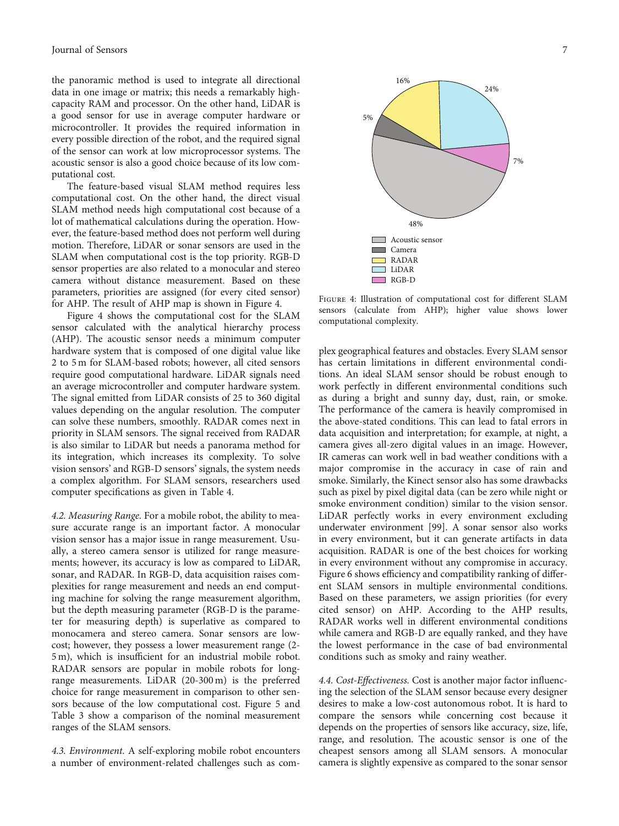the panoramic method is used to integrate all directional data in one image or matrix; this needs a remarkably highcapacity RAM and processor. On the other hand, LiDAR is a good sensor for use in average computer hardware or microcontroller. It provides the required information in every possible direction of the robot, and the required signal of the sensor can work at low microprocessor systems. The acoustic sensor is also a good choice because of its low computational cost.

The feature-based visual SLAM method requires less computational cost. On the other hand, the direct visual SLAM method needs high computational cost because of a lot of mathematical calculations during the operation. However, the feature-based method does not perform well during motion. Therefore, LiDAR or sonar sensors are used in the SLAM when computational cost is the top priority. RGB-D sensor properties are also related to a monocular and stereo camera without distance measurement. Based on these parameters, priorities are assigned (for every cited sensor) for AHP. The result of AHP map is shown in Figure 4.

Figure 4 shows the computational cost for the SLAM sensor calculated with the analytical hierarchy process (AHP). The acoustic sensor needs a minimum computer hardware system that is composed of one digital value like 2 to 5 m for SLAM-based robots; however, all cited sensors require good computational hardware. LiDAR signals need an average microcontroller and computer hardware system. The signal emitted from LiDAR consists of 25 to 360 digital values depending on the angular resolution. The computer can solve these numbers, smoothly. RADAR comes next in priority in SLAM sensors. The signal received from RADAR is also similar to LiDAR but needs a panorama method for its integration, which increases its complexity. To solve vision sensors' and RGB-D sensors' signals, the system needs a complex algorithm. For SLAM sensors, researchers used computer specifications as given in Table [4](#page-7-0).

4.2. Measuring Range. For a mobile robot, the ability to measure accurate range is an important factor. A monocular vision sensor has a major issue in range measurement. Usually, a stereo camera sensor is utilized for range measurements; however, its accuracy is low as compared to LiDAR, sonar, and RADAR. In RGB-D, data acquisition raises complexities for range measurement and needs an end computing machine for solving the range measurement algorithm, but the depth measuring parameter (RGB-D is the parameter for measuring depth) is superlative as compared to monocamera and stereo camera. Sonar sensors are lowcost; however, they possess a lower measurement range (2- 5 m), which is insufficient for an industrial mobile robot. RADAR sensors are popular in mobile robots for longrange measurements. LiDAR (20-300 m) is the preferred choice for range measurement in comparison to other sensors because of the low computational cost. Figure [5](#page-7-0) and Table [3](#page-4-0) show a comparison of the nominal measurement ranges of the SLAM sensors.

4.3. Environment. A self-exploring mobile robot encounters a number of environment-related challenges such as com-



16%

48% Acoustic sensor Camera RADAR LiDAR RGB-D

5%

Figure 4: Illustration of computational cost for different SLAM sensors (calculate from AHP); higher value shows lower computational complexity.

plex geographical features and obstacles. Every SLAM sensor has certain limitations in different environmental conditions. An ideal SLAM sensor should be robust enough to work perfectly in different environmental conditions such as during a bright and sunny day, dust, rain, or smoke. The performance of the camera is heavily compromised in the above-stated conditions. This can lead to fatal errors in data acquisition and interpretation; for example, at night, a camera gives all-zero digital values in an image. However, IR cameras can work well in bad weather conditions with a major compromise in the accuracy in case of rain and smoke. Similarly, the Kinect sensor also has some drawbacks such as pixel by pixel digital data (can be zero while night or smoke environment condition) similar to the vision sensor. LiDAR perfectly works in every environment excluding underwater environment [[99](#page-14-0)]. A sonar sensor also works in every environment, but it can generate artifacts in data acquisition. RADAR is one of the best choices for working in every environment without any compromise in accuracy. Figure [6](#page-7-0) shows efficiency and compatibility ranking of different SLAM sensors in multiple environmental conditions. Based on these parameters, we assign priorities (for every cited sensor) on AHP. According to the AHP results, RADAR works well in different environmental conditions while camera and RGB-D are equally ranked, and they have the lowest performance in the case of bad environmental conditions such as smoky and rainy weather.

4.4. Cost-Effectiveness. Cost is another major factor influencing the selection of the SLAM sensor because every designer desires to make a low-cost autonomous robot. It is hard to compare the sensors while concerning cost because it depends on the properties of sensors like accuracy, size, life, range, and resolution. The acoustic sensor is one of the cheapest sensors among all SLAM sensors. A monocular camera is slightly expensive as compared to the sonar sensor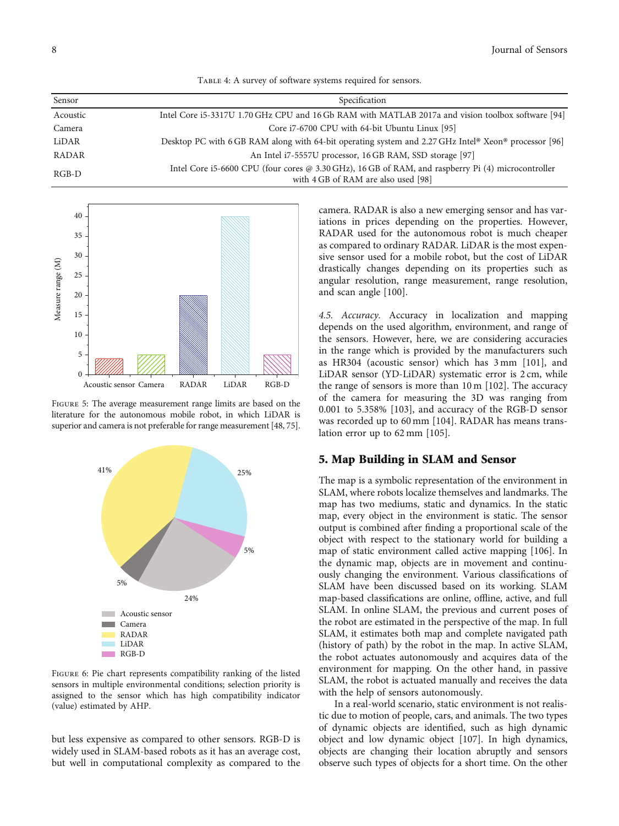|  | TABLE 4: A survey of software systems required for sensors. |  |  |
|--|-------------------------------------------------------------|--|--|
|  |                                                             |  |  |

<span id="page-7-0"></span>

| Sensor       | Specification                                                                                                                             |
|--------------|-------------------------------------------------------------------------------------------------------------------------------------------|
| Acoustic     | Intel Core i5-3317U 1.70 GHz CPU and 16 Gb RAM with MATLAB 2017a and vision toolbox software [94]                                         |
| Camera       | Core i7-6700 CPU with 64-bit Ubuntu Linux [95]                                                                                            |
| LiDAR        | Desktop PC with 6 GB RAM along with 64-bit operating system and 2.27 GHz Intel <sup>®</sup> Xeon® processor [96]                          |
| <b>RADAR</b> | An Intel i7-5557U processor, 16 GB RAM, SSD storage [97]                                                                                  |
| $RGB-D$      | Intel Core i5-6600 CPU (four cores @ 3.30 GHz), 16 GB of RAM, and raspberry Pi (4) microcontroller<br>with 4 GB of RAM are also used [98] |



FIGURE 5: The average measurement range limits are based on the literature for the autonomous mobile robot, in which LiDAR is superior and camera is not preferable for range measurement [[48,](#page-12-0) [75](#page-13-0)].



Figure 6: Pie chart represents compatibility ranking of the listed sensors in multiple environmental conditions; selection priority is assigned to the sensor which has high compatibility indicator (value) estimated by AHP.

but less expensive as compared to other sensors. RGB-D is widely used in SLAM-based robots as it has an average cost, but well in computational complexity as compared to the camera. RADAR is also a new emerging sensor and has variations in prices depending on the properties. However, RADAR used for the autonomous robot is much cheaper as compared to ordinary RADAR. LiDAR is the most expensive sensor used for a mobile robot, but the cost of LiDAR drastically changes depending on its properties such as angular resolution, range measurement, range resolution, and scan angle [\[100\]](#page-14-0).

4.5. Accuracy. Accuracy in localization and mapping depends on the used algorithm, environment, and range of the sensors. However, here, we are considering accuracies in the range which is provided by the manufacturers such as HR304 (acoustic sensor) which has 3 mm [[101](#page-14-0)], and LiDAR sensor (YD-LiDAR) systematic error is 2 cm, while the range of sensors is more than 10 m [\[102\]](#page-14-0). The accuracy of the camera for measuring the 3D was ranging from 0.001 to 5.358% [[103](#page-14-0)], and accuracy of the RGB-D sensor was recorded up to 60 mm [\[104\]](#page-14-0). RADAR has means translation error up to 62 mm [\[105\]](#page-14-0).

### 5. Map Building in SLAM and Sensor

The map is a symbolic representation of the environment in SLAM, where robots localize themselves and landmarks. The map has two mediums, static and dynamics. In the static map, every object in the environment is static. The sensor output is combined after finding a proportional scale of the object with respect to the stationary world for building a map of static environment called active mapping [[106\]](#page-14-0). In the dynamic map, objects are in movement and continuously changing the environment. Various classifications of SLAM have been discussed based on its working. SLAM map-based classifications are online, offline, active, and full SLAM. In online SLAM, the previous and current poses of the robot are estimated in the perspective of the map. In full SLAM, it estimates both map and complete navigated path (history of path) by the robot in the map. In active SLAM, the robot actuates autonomously and acquires data of the environment for mapping. On the other hand, in passive SLAM, the robot is actuated manually and receives the data with the help of sensors autonomously.

In a real-world scenario, static environment is not realistic due to motion of people, cars, and animals. The two types of dynamic objects are identified, such as high dynamic object and low dynamic object [\[107\]](#page-14-0). In high dynamics, objects are changing their location abruptly and sensors observe such types of objects for a short time. On the other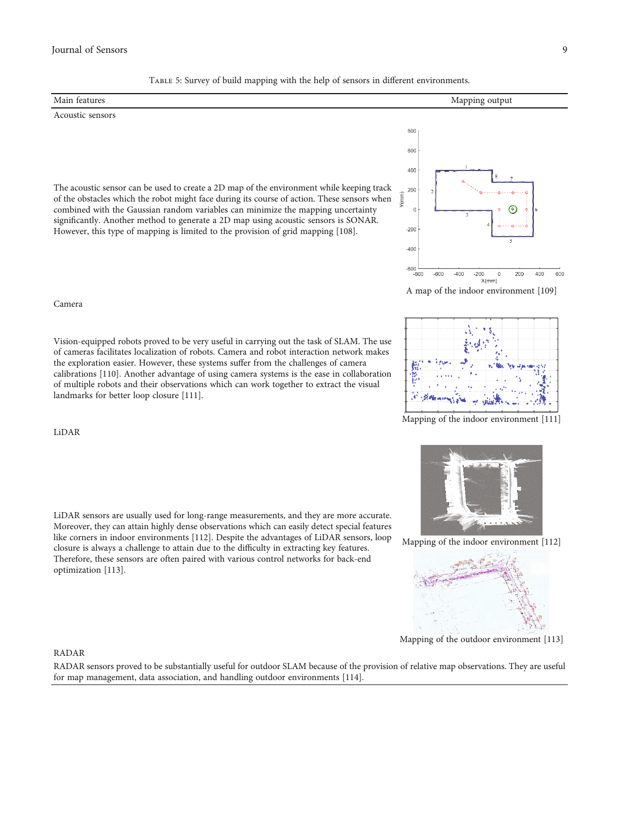### <span id="page-8-0"></span>Journal of Sensors 9

| TABLE 5: Survey of build mapping with the neip of sensors in different environments. |                |  |
|--------------------------------------------------------------------------------------|----------------|--|
| Main features                                                                        | Mapping output |  |
| Acoustic sensors                                                                     |                |  |
|                                                                                      | 800            |  |
|                                                                                      | 600            |  |
|                                                                                      | 400            |  |

Table 5: Survey of build mapping with the help of sensors in different environments.

The acoustic sensor can be used to create a 2D map of the environment while keeping track of the obstacles which the robot might face during its course of action. These sensors when combined with the Gaussian random variables can minimize the mapping uncertainty significantly. Another method to generate a 2D map using acoustic sensors is SONAR. However, this type of mapping is limited to the provision of grid mapping [[108\]](#page-14-0).



A map of the indoor environment [[109\]](#page-14-0)



Mapping of the indoor environment [[111\]](#page-14-0)

Mapping of the indoor environment [[112\]](#page-14-0)



Mapping of the outdoor environment [\[113](#page-14-0)]

#### Camera

Vision-equipped robots proved to be very useful in carrying out the task of SLAM. The use of cameras facilitates localization of robots. Camera and robot interaction network makes the exploration easier. However, these systems suffer from the challenges of camera calibrations [\[110](#page-14-0)]. Another advantage of using camera systems is the ease in collaboration of multiple robots and their observations which can work together to extract the visual landmarks for better loop closure [\[111\]](#page-14-0).

LiDAR

LiDAR sensors are usually used for long-range measurements, and they are more accurate. Moreover, they can attain highly dense observations which can easily detect special features like corners in indoor environments [[112\]](#page-14-0). Despite the advantages of LiDAR sensors, loop closure is always a challenge to attain due to the difficulty in extracting key features. Therefore, these sensors are often paired with various control networks for back-end optimization [[113\]](#page-14-0).

### RADAR

RADAR sensors proved to be substantially useful for outdoor SLAM because of the provision of relative map observations. They are useful for map management, data association, and handling outdoor environments [[114\]](#page-14-0).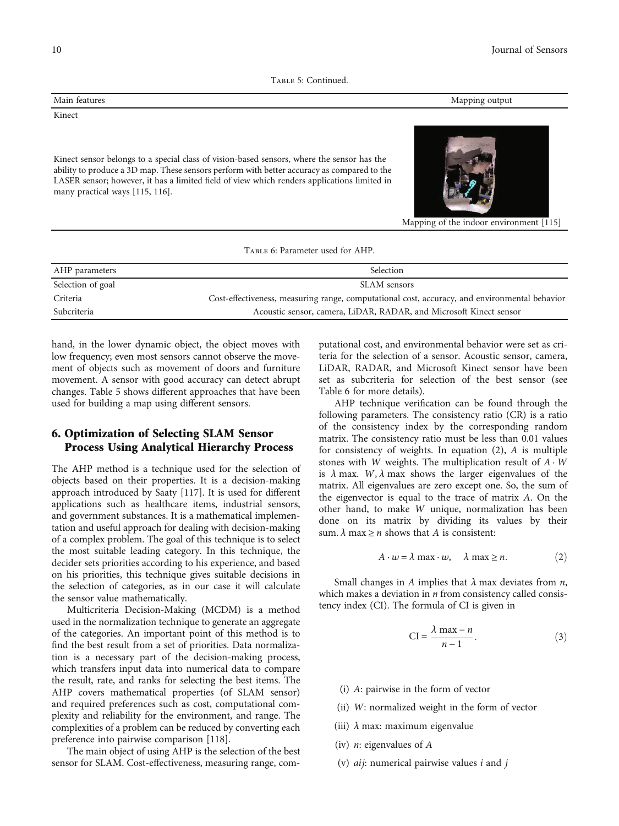Table 5: Continued.

<span id="page-9-0"></span>

Kinect sensor belongs to a special class of vision-based sensors, where the sensor has the ability to produce a 3D map. These sensors perform with better accuracy as compared to the LASER sensor; however, it has a limited field of view which renders applications limited in many practical ways [\[115](#page-14-0), [116\]](#page-14-0).



Mapping of the indoor environment [[115\]](#page-14-0)

|  | TABLE 6: Parameter used for AHP. |  |  |
|--|----------------------------------|--|--|
|  |                                  |  |  |

| AHP parameters    | Selection                                                                                     |
|-------------------|-----------------------------------------------------------------------------------------------|
| Selection of goal | SLAM sensors                                                                                  |
| Criteria          | Cost-effectiveness, measuring range, computational cost, accuracy, and environmental behavior |
| Subcriteria       | Acoustic sensor, camera, LiDAR, RADAR, and Microsoft Kinect sensor                            |

hand, in the lower dynamic object, the object moves with low frequency; even most sensors cannot observe the movement of objects such as movement of doors and furniture movement. A sensor with good accuracy can detect abrupt changes. Table [5](#page-8-0) shows different approaches that have been used for building a map using different sensors.

### 6. Optimization of Selecting SLAM Sensor Process Using Analytical Hierarchy Process

The AHP method is a technique used for the selection of objects based on their properties. It is a decision-making approach introduced by Saaty [\[117\]](#page-14-0). It is used for different applications such as healthcare items, industrial sensors, and government substances. It is a mathematical implementation and useful approach for dealing with decision-making of a complex problem. The goal of this technique is to select the most suitable leading category. In this technique, the decider sets priorities according to his experience, and based on his priorities, this technique gives suitable decisions in the selection of categories, as in our case it will calculate the sensor value mathematically.

Multicriteria Decision-Making (MCDM) is a method used in the normalization technique to generate an aggregate of the categories. An important point of this method is to find the best result from a set of priorities. Data normalization is a necessary part of the decision-making process, which transfers input data into numerical data to compare the result, rate, and ranks for selecting the best items. The AHP covers mathematical properties (of SLAM sensor) and required preferences such as cost, computational complexity and reliability for the environment, and range. The complexities of a problem can be reduced by converting each preference into pairwise comparison [\[118\]](#page-14-0).

The main object of using AHP is the selection of the best sensor for SLAM. Cost-effectiveness, measuring range, com-

putational cost, and environmental behavior were set as criteria for the selection of a sensor. Acoustic sensor, camera, LiDAR, RADAR, and Microsoft Kinect sensor have been set as subcriteria for selection of the best sensor (see Table 6 for more details).

AHP technique verification can be found through the following parameters. The consistency ratio (CR) is a ratio of the consistency index by the corresponding random matrix. The consistency ratio must be less than 0.01 values for consistency of weights. In equation (2), *A* is multiple stones with *W* weights. The multiplication result of *A* · *W* is  $\lambda$  max. *W*,  $\lambda$  max shows the larger eigenvalues of the matrix. All eigenvalues are zero except one. So, the sum of the eigenvector is equal to the trace of matrix *A*. On the other hand, to make *W* unique, normalization has been done on its matrix by dividing its values by their sum.  $\lambda$  max  $\geq n$  shows that *A* is consistent:

$$
A \cdot w = \lambda \max \cdot w, \quad \lambda \max \ge n. \tag{2}
$$

Small changes in *A* implies that *λ* max deviates from *n*, which makes a deviation in *n* from consistency called consistency index (CI). The formula of CI is given in

$$
CI = \frac{\lambda \max - n}{n - 1}.
$$
 (3)

- (i) *A*: pairwise in the form of vector
- (ii) *W*: normalized weight in the form of vector
- (iii) *λ* max: maximum eigenvalue
- (iv) *n*: eigenvalues of *A*
- (v) *aij*: numerical pairwise values *i* and *j*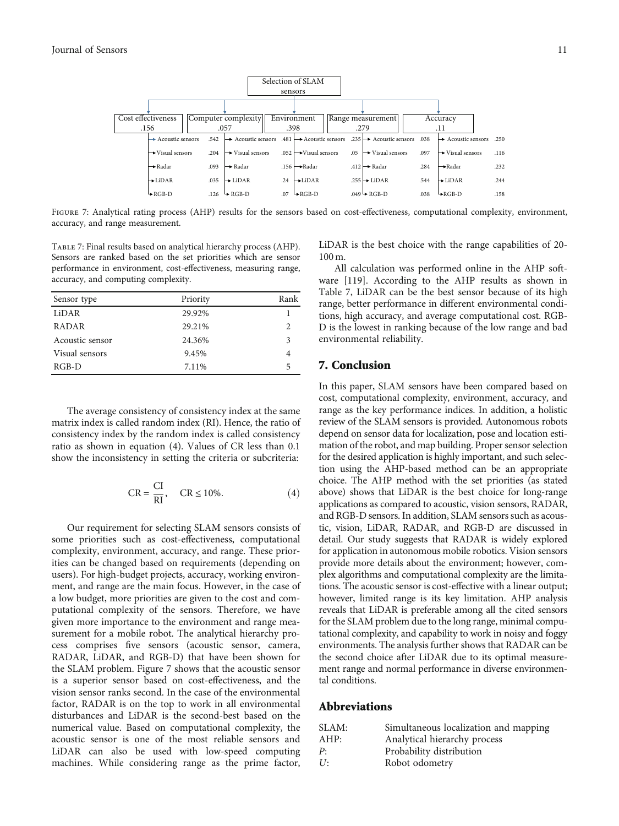<span id="page-10-0"></span>

FIGURE 7: Analytical rating process (AHP) results for the sensors based on cost-effectiveness, computational complexity, environment, accuracy, and range measurement.

Table 7: Final results based on analytical hierarchy process (AHP). Sensors are ranked based on the set priorities which are sensor performance in environment, cost-effectiveness, measuring range, accuracy, and computing complexity.

| Sensor type     | Priority | Rank                   |
|-----------------|----------|------------------------|
| LiDAR           | 29.92%   |                        |
| <b>RADAR</b>    | 29.21%   | $\mathfrak{D}_{\cdot}$ |
| Acoustic sensor | 24.36%   | 3                      |
| Visual sensors  | 9.45%    |                        |
| $RGB-D$         | 7.11%    | 5                      |

The average consistency of consistency index at the same matrix index is called random index (RI). Hence, the ratio of consistency index by the random index is called consistency ratio as shown in equation (4). Values of CR less than 0.1 show the inconsistency in setting the criteria or subcriteria:

$$
CR = \frac{CI}{RI}, \quad CR \le 10\%.
$$
 (4)

Our requirement for selecting SLAM sensors consists of some priorities such as cost-effectiveness, computational complexity, environment, accuracy, and range. These priorities can be changed based on requirements (depending on users). For high-budget projects, accuracy, working environment, and range are the main focus. However, in the case of a low budget, more priorities are given to the cost and computational complexity of the sensors. Therefore, we have given more importance to the environment and range measurement for a mobile robot. The analytical hierarchy process comprises five sensors (acoustic sensor, camera, RADAR, LiDAR, and RGB-D) that have been shown for the SLAM problem. Figure 7 shows that the acoustic sensor is a superior sensor based on cost-effectiveness, and the vision sensor ranks second. In the case of the environmental factor, RADAR is on the top to work in all environmental disturbances and LiDAR is the second-best based on the numerical value. Based on computational complexity, the acoustic sensor is one of the most reliable sensors and LiDAR can also be used with low-speed computing machines. While considering range as the prime factor,

LiDAR is the best choice with the range capabilities of 20- 100 m.

All calculation was performed online in the AHP software [[119](#page-14-0)]. According to the AHP results as shown in Table 7, LiDAR can be the best sensor because of its high range, better performance in different environmental conditions, high accuracy, and average computational cost. RGB-D is the lowest in ranking because of the low range and bad environmental reliability.

### 7. Conclusion

In this paper, SLAM sensors have been compared based on cost, computational complexity, environment, accuracy, and range as the key performance indices. In addition, a holistic review of the SLAM sensors is provided. Autonomous robots depend on sensor data for localization, pose and location estimation of the robot, and map building. Proper sensor selection for the desired application is highly important, and such selection using the AHP-based method can be an appropriate choice. The AHP method with the set priorities (as stated above) shows that LiDAR is the best choice for long-range applications as compared to acoustic, vision sensors, RADAR, and RGB-D sensors. In addition, SLAM sensors such as acoustic, vision, LiDAR, RADAR, and RGB-D are discussed in detail. Our study suggests that RADAR is widely explored for application in autonomous mobile robotics. Vision sensors provide more details about the environment; however, complex algorithms and computational complexity are the limitations. The acoustic sensor is cost-effective with a linear output; however, limited range is its key limitation. AHP analysis reveals that LiDAR is preferable among all the cited sensors for the SLAM problem due to the long range, minimal computational complexity, and capability to work in noisy and foggy environments. The analysis further shows that RADAR can be the second choice after LiDAR due to its optimal measurement range and normal performance in diverse environmental conditions.

### Abbreviations

| SLAM: | Simultaneous localization and mapping |
|-------|---------------------------------------|
| AHP:  | Analytical hierarchy process          |
| P:    | Probability distribution              |
| U:    | Robot odometry                        |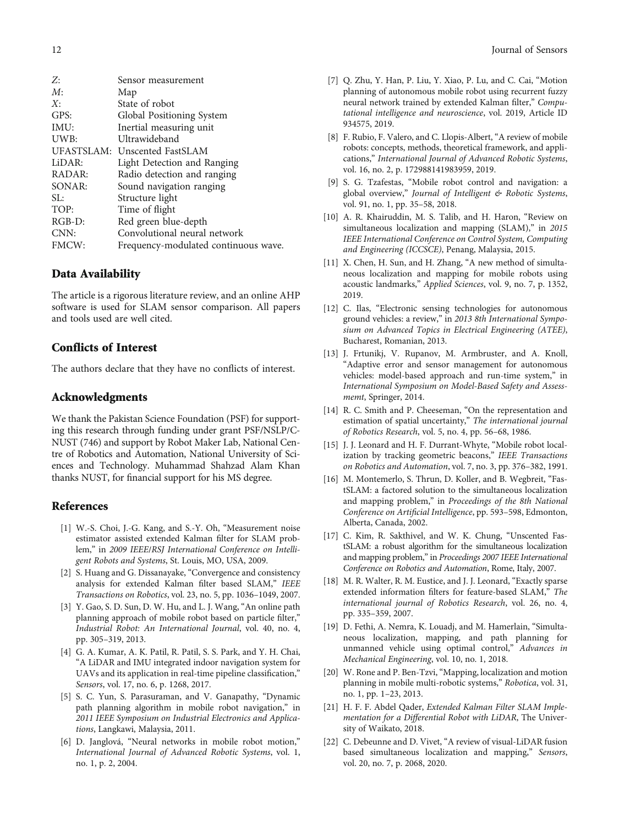<span id="page-11-0"></span>

| Frequency-modulated continuous wave. |
|--------------------------------------|
|                                      |

### Data Availability

The article is a rigorous literature review, and an online AHP software is used for SLAM sensor comparison. All papers and tools used are well cited.

### Conflicts of Interest

The authors declare that they have no conflicts of interest.

### Acknowledgments

We thank the Pakistan Science Foundation (PSF) for supporting this research through funding under grant PSF/NSLP/C-NUST (746) and support by Robot Maker Lab, National Centre of Robotics and Automation, National University of Sciences and Technology. Muhammad Shahzad Alam Khan thanks NUST, for financial support for his MS degree.

### References

- [1] W.-S. Choi, J.-G. Kang, and S.-Y. Oh, "Measurement noise estimator assisted extended Kalman filter for SLAM problem," in 2009 IEEE/RSJ International Conference on Intelligent Robots and Systems, St. Louis, MO, USA, 2009.
- [2] S. Huang and G. Dissanayake, "Convergence and consistency analysis for extended Kalman filter based SLAM," IEEE Transactions on Robotics, vol. 23, no. 5, pp. 1036–1049, 2007.
- [3] Y. Gao, S. D. Sun, D. W. Hu, and L. J. Wang, "An online path planning approach of mobile robot based on particle filter," Industrial Robot: An International Journal, vol. 40, no. 4, pp. 305–319, 2013.
- [4] G. A. Kumar, A. K. Patil, R. Patil, S. S. Park, and Y. H. Chai, "A LiDAR and IMU integrated indoor navigation system for UAVs and its application in real-time pipeline classification," Sensors, vol. 17, no. 6, p. 1268, 2017.
- [5] S. C. Yun, S. Parasuraman, and V. Ganapathy, "Dynamic path planning algorithm in mobile robot navigation," in 2011 IEEE Symposium on Industrial Electronics and Applications, Langkawi, Malaysia, 2011.
- [6] D. Janglová, "Neural networks in mobile robot motion," International Journal of Advanced Robotic Systems, vol. 1, no. 1, p. 2, 2004.
- [7] Q. Zhu, Y. Han, P. Liu, Y. Xiao, P. Lu, and C. Cai, "Motion planning of autonomous mobile robot using recurrent fuzzy neural network trained by extended Kalman filter," Computational intelligence and neuroscience, vol. 2019, Article ID 934575, 2019.
- [8] F. Rubio, F. Valero, and C. Llopis-Albert, "A review of mobile robots: concepts, methods, theoretical framework, and applications," International Journal of Advanced Robotic Systems, vol. 16, no. 2, p. 172988141983959, 2019.
- [9] S. G. Tzafestas, "Mobile robot control and navigation: a global overview," Journal of Intelligent & Robotic Systems, vol. 91, no. 1, pp. 35–58, 2018.
- [10] A. R. Khairuddin, M. S. Talib, and H. Haron, "Review on simultaneous localization and mapping (SLAM)," in 2015 IEEE International Conference on Control System, Computing and Engineering (ICCSCE), Penang, Malaysia, 2015.
- [11] X. Chen, H. Sun, and H. Zhang, "A new method of simultaneous localization and mapping for mobile robots using acoustic landmarks," Applied Sciences, vol. 9, no. 7, p. 1352, 2019.
- [12] C. Ilas, "Electronic sensing technologies for autonomous ground vehicles: a review," in 2013 8th International Symposium on Advanced Topics in Electrical Engineering (ATEE), Bucharest, Romanian, 2013.
- [13] J. Frtunikj, V. Rupanov, M. Armbruster, and A. Knoll, "Adaptive error and sensor management for autonomous vehicles: model-based approach and run-time system," in International Symposium on Model-Based Safety and Assessmemt, Springer, 2014.
- [14] R. C. Smith and P. Cheeseman, "On the representation and estimation of spatial uncertainty," The international journal of Robotics Research, vol. 5, no. 4, pp. 56–68, 1986.
- [15] J. J. Leonard and H. F. Durrant-Whyte, "Mobile robot localization by tracking geometric beacons," IEEE Transactions on Robotics and Automation, vol. 7, no. 3, pp. 376–382, 1991.
- [16] M. Montemerlo, S. Thrun, D. Koller, and B. Wegbreit, "FastSLAM: a factored solution to the simultaneous localization and mapping problem," in Proceedings of the 8th National Conference on Artificial Intelligence, pp. 593–598, Edmonton, Alberta, Canada, 2002.
- [17] C. Kim, R. Sakthivel, and W. K. Chung, "Unscented FastSLAM: a robust algorithm for the simultaneous localization and mapping problem,"in Proceedings 2007 IEEE International Conference on Robotics and Automation, Rome, Italy, 2007.
- [18] M. R. Walter, R. M. Eustice, and J. J. Leonard, "Exactly sparse extended information filters for feature-based SLAM," The international journal of Robotics Research, vol. 26, no. 4, pp. 335–359, 2007.
- [19] D. Fethi, A. Nemra, K. Louadj, and M. Hamerlain, "Simultaneous localization, mapping, and path planning for unmanned vehicle using optimal control," Advances in Mechanical Engineering, vol. 10, no. 1, 2018.
- [20] W. Rone and P. Ben-Tzvi, "Mapping, localization and motion planning in mobile multi-robotic systems," Robotica, vol. 31, no. 1, pp. 1–23, 2013.
- [21] H. F. F. Abdel Qader, Extended Kalman Filter SLAM Implementation for a Differential Robot with LiDAR, The University of Waikato, 2018.
- [22] C. Debeunne and D. Vivet, "A review of visual-LiDAR fusion based simultaneous localization and mapping," Sensors, vol. 20, no. 7, p. 2068, 2020.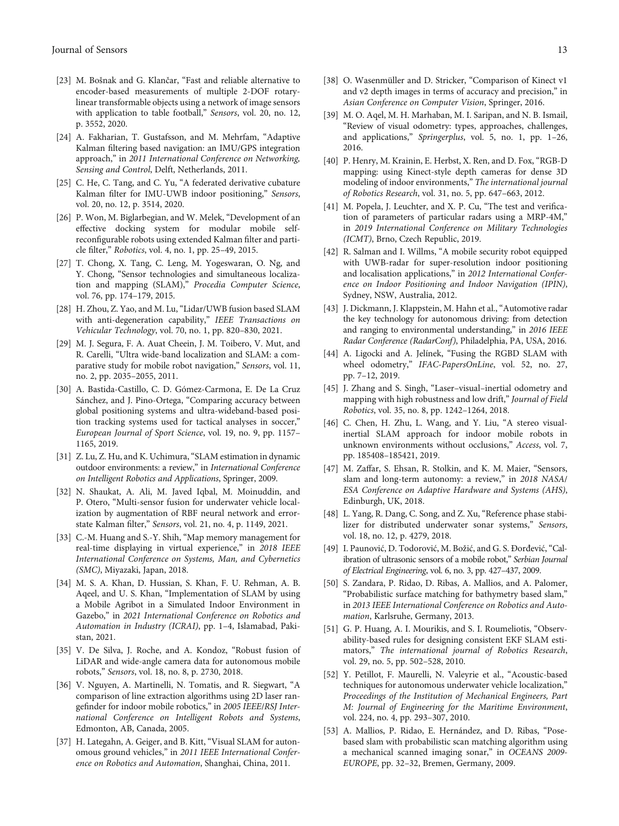- <span id="page-12-0"></span>[23] M. Bošnak and G. Klančar, "Fast and reliable alternative to encoder-based measurements of multiple 2-DOF rotarylinear transformable objects using a network of image sensors with application to table football," Sensors, vol. 20, no. 12, p. 3552, 2020.
- [24] A. Fakharian, T. Gustafsson, and M. Mehrfam, "Adaptive Kalman filtering based navigation: an IMU/GPS integration approach," in 2011 International Conference on Networking, Sensing and Control, Delft, Netherlands, 2011.
- [25] C. He, C. Tang, and C. Yu, "A federated derivative cubature Kalman filter for IMU-UWB indoor positioning," Sensors, vol. 20, no. 12, p. 3514, 2020.
- [26] P. Won, M. Biglarbegian, and W. Melek, "Development of an effective docking system for modular mobile selfreconfigurable robots using extended Kalman filter and particle filter," Robotics, vol. 4, no. 1, pp. 25–49, 2015.
- [27] T. Chong, X. Tang, C. Leng, M. Yogeswaran, O. Ng, and Y. Chong, "Sensor technologies and simultaneous localization and mapping (SLAM)," Procedia Computer Science, vol. 76, pp. 174–179, 2015.
- [28] H. Zhou, Z. Yao, and M. Lu, "Lidar/UWB fusion based SLAM with anti-degeneration capability," IEEE Transactions on Vehicular Technology, vol. 70, no. 1, pp. 820–830, 2021.
- [29] M. J. Segura, F. A. Auat Cheein, J. M. Toibero, V. Mut, and R. Carelli, "Ultra wide-band localization and SLAM: a comparative study for mobile robot navigation," Sensors, vol. 11, no. 2, pp. 2035–2055, 2011.
- [30] A. Bastida-Castillo, C. D. Gómez-Carmona, E. De La Cruz Sánchez, and J. Pino-Ortega, "Comparing accuracy between global positioning systems and ultra-wideband-based position tracking systems used for tactical analyses in soccer," European Journal of Sport Science, vol. 19, no. 9, pp. 1157– 1165, 2019.
- [31] Z. Lu, Z. Hu, and K. Uchimura, "SLAM estimation in dynamic outdoor environments: a review," in International Conference on Intelligent Robotics and Applications, Springer, 2009.
- [32] N. Shaukat, A. Ali, M. Javed Iqbal, M. Moinuddin, and P. Otero, "Multi-sensor fusion for underwater vehicle localization by augmentation of RBF neural network and errorstate Kalman filter," Sensors, vol. 21, no. 4, p. 1149, 2021.
- [33] C.-M. Huang and S.-Y. Shih, "Map memory management for real-time displaying in virtual experience," in 2018 IEEE International Conference on Systems, Man, and Cybernetics (SMC), Miyazaki, Japan, 2018.
- [34] M. S. A. Khan, D. Hussian, S. Khan, F. U. Rehman, A. B. Aqeel, and U. S. Khan, "Implementation of SLAM by using a Mobile Agribot in a Simulated Indoor Environment in Gazebo," in 2021 International Conference on Robotics and Automation in Industry (ICRAI), pp. 1–4, Islamabad, Pakistan, 2021.
- [35] V. De Silva, J. Roche, and A. Kondoz, "Robust fusion of LiDAR and wide-angle camera data for autonomous mobile robots," Sensors, vol. 18, no. 8, p. 2730, 2018.
- [36] V. Nguyen, A. Martinelli, N. Tomatis, and R. Siegwart, "A comparison of line extraction algorithms using 2D laser rangefinder for indoor mobile robotics," in 2005 IEEE/RSJ International Conference on Intelligent Robots and Systems, Edmonton, AB, Canada, 2005.
- [37] H. Lategahn, A. Geiger, and B. Kitt, "Visual SLAM for autonomous ground vehicles," in 2011 IEEE International Conference on Robotics and Automation, Shanghai, China, 2011.
- [38] O. Wasenmüller and D. Stricker, "Comparison of Kinect v1 and v2 depth images in terms of accuracy and precision," in Asian Conference on Computer Vision, Springer, 2016.
- [39] M. O. Aqel, M. H. Marhaban, M. I. Saripan, and N. B. Ismail, "Review of visual odometry: types, approaches, challenges, and applications," Springerplus, vol. 5, no. 1, pp. 1–26, 2016.
- [40] P. Henry, M. Krainin, E. Herbst, X. Ren, and D. Fox, "RGB-D mapping: using Kinect-style depth cameras for dense 3D modeling of indoor environments," The international journal of Robotics Research, vol. 31, no. 5, pp. 647–663, 2012.
- [41] M. Popela, J. Leuchter, and X. P. Cu, "The test and verification of parameters of particular radars using a MRP-4M," in 2019 International Conference on Military Technologies (ICMT), Brno, Czech Republic, 2019.
- [42] R. Salman and I. Willms, "A mobile security robot equipped with UWB-radar for super-resolution indoor positioning and localisation applications," in 2012 International Conference on Indoor Positioning and Indoor Navigation (IPIN), Sydney, NSW, Australia, 2012.
- [43] J. Dickmann, J. Klappstein, M. Hahn et al., "Automotive radar the key technology for autonomous driving: from detection and ranging to environmental understanding," in 2016 IEEE Radar Conference (RadarConf), Philadelphia, PA, USA, 2016.
- [44] A. Ligocki and A. Jelínek, "Fusing the RGBD SLAM with wheel odometry," IFAC-PapersOnLine, vol. 52, no. 27, pp. 7–12, 2019.
- [45] J. Zhang and S. Singh, "Laser–visual–inertial odometry and mapping with high robustness and low drift," Journal of Field Robotics, vol. 35, no. 8, pp. 1242–1264, 2018.
- [46] C. Chen, H. Zhu, L. Wang, and Y. Liu, "A stereo visualinertial SLAM approach for indoor mobile robots in unknown environments without occlusions," Access, vol. 7, pp. 185408–185421, 2019.
- [47] M. Zaffar, S. Ehsan, R. Stolkin, and K. M. Maier, "Sensors, slam and long-term autonomy: a review," in 2018 NASA/ ESA Conference on Adaptive Hardware and Systems (AHS), Edinburgh, UK, 2018.
- [48] L. Yang, R. Dang, C. Song, and Z. Xu, "Reference phase stabilizer for distributed underwater sonar systems," Sensors, vol. 18, no. 12, p. 4279, 2018.
- [49] I. Paunović, D. Todorović, M. Božić, and G. S. Đorđević,"Calibration of ultrasonic sensors of a mobile robot," Serbian Journal of Electrical Engineering, vol. 6, no. 3, pp. 427–437, 2009.
- [50] S. Zandara, P. Ridao, D. Ribas, A. Mallios, and A. Palomer, "Probabilistic surface matching for bathymetry based slam," in 2013 IEEE International Conference on Robotics and Automation, Karlsruhe, Germany, 2013.
- [51] G. P. Huang, A. I. Mourikis, and S. I. Roumeliotis, "Observability-based rules for designing consistent EKF SLAM estimators," The international journal of Robotics Research, vol. 29, no. 5, pp. 502–528, 2010.
- [52] Y. Petillot, F. Maurelli, N. Valeyrie et al., "Acoustic-based techniques for autonomous underwater vehicle localization," Proceedings of the Institution of Mechanical Engineers, Part M: Journal of Engineering for the Maritime Environment, vol. 224, no. 4, pp. 293–307, 2010.
- [53] A. Mallios, P. Ridao, E. Hernández, and D. Ribas, "Posebased slam with probabilistic scan matching algorithm using a mechanical scanned imaging sonar," in OCEANS 2009- EUROPE, pp. 32–32, Bremen, Germany, 2009.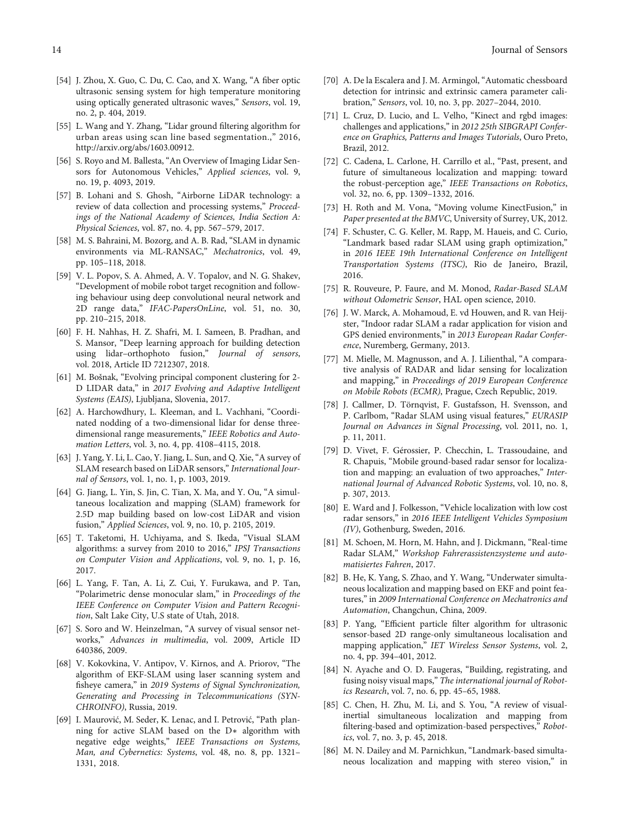- <span id="page-13-0"></span>[54] J. Zhou, X. Guo, C. Du, C. Cao, and X. Wang, "A fiber optic ultrasonic sensing system for high temperature monitoring using optically generated ultrasonic waves," Sensors, vol. 19, no. 2, p. 404, 2019.
- [55] L. Wang and Y. Zhang, "Lidar ground filtering algorithm for urban areas using scan line based segmentation.," 2016, http://arxiv.org/abs/1603.00912.
- [56] S. Royo and M. Ballesta, "An Overview of Imaging Lidar Sensors for Autonomous Vehicles," Applied sciences, vol. 9, no. 19, p. 4093, 2019.
- [57] B. Lohani and S. Ghosh, "Airborne LiDAR technology: a review of data collection and processing systems," Proceedings of the National Academy of Sciences, India Section A: Physical Sciences, vol. 87, no. 4, pp. 567–579, 2017.
- [58] M. S. Bahraini, M. Bozorg, and A. B. Rad, "SLAM in dynamic environments via ML-RANSAC," Mechatronics, vol. 49, pp. 105–118, 2018.
- [59] V. L. Popov, S. A. Ahmed, A. V. Topalov, and N. G. Shakev, "Development of mobile robot target recognition and following behaviour using deep convolutional neural network and 2D range data," IFAC-PapersOnLine, vol. 51, no. 30, pp. 210–215, 2018.
- [60] F. H. Nahhas, H. Z. Shafri, M. I. Sameen, B. Pradhan, and S. Mansor, "Deep learning approach for building detection using lidar–orthophoto fusion," Journal of sensors, vol. 2018, Article ID 7212307, 2018.
- [61] M. Bošnak, "Evolving principal component clustering for 2- D LIDAR data," in 2017 Evolving and Adaptive Intelligent Systems (EAIS), Ljubljana, Slovenia, 2017.
- [62] A. Harchowdhury, L. Kleeman, and L. Vachhani, "Coordinated nodding of a two-dimensional lidar for dense threedimensional range measurements," IEEE Robotics and Automation Letters, vol. 3, no. 4, pp. 4108–4115, 2018.
- [63] J. Yang, Y. Li, L. Cao, Y. Jiang, L. Sun, and Q. Xie, "A survey of SLAM research based on LiDAR sensors," International Journal of Sensors, vol. 1, no. 1, p. 1003, 2019.
- [64] G. Jiang, L. Yin, S. Jin, C. Tian, X. Ma, and Y. Ou, "A simultaneous localization and mapping (SLAM) framework for 2.5D map building based on low-cost LiDAR and vision fusion," Applied Sciences, vol. 9, no. 10, p. 2105, 2019.
- [65] T. Taketomi, H. Uchiyama, and S. Ikeda, "Visual SLAM algorithms: a survey from 2010 to 2016," IPSJ Transactions on Computer Vision and Applications, vol. 9, no. 1, p. 16, 2017.
- [66] L. Yang, F. Tan, A. Li, Z. Cui, Y. Furukawa, and P. Tan, "Polarimetric dense monocular slam," in Proceedings of the IEEE Conference on Computer Vision and Pattern Recognition, Salt Lake City, U.S state of Utah, 2018.
- [67] S. Soro and W. Heinzelman, "A survey of visual sensor networks," Advances in multimedia, vol. 2009, Article ID 640386, 2009.
- [68] V. Kokovkina, V. Antipov, V. Kirnos, and A. Priorov, "The algorithm of EKF-SLAM using laser scanning system and fisheye camera," in 2019 Systems of Signal Synchronization, Generating and Processing in Telecommunications (SYN-CHROINFO), Russia, 2019.
- [69] I. Maurović, M. Seder, K. Lenac, and I. Petrović, "Path planning for active SLAM based on the D∗ algorithm with negative edge weights," IEEE Transactions on Systems, Man, and Cybernetics: Systems, vol. 48, no. 8, pp. 1321– 1331, 2018.
- [70] A. De la Escalera and J. M. Armingol, "Automatic chessboard detection for intrinsic and extrinsic camera parameter calibration," Sensors, vol. 10, no. 3, pp. 2027–2044, 2010.
- [71] L. Cruz, D. Lucio, and L. Velho, "Kinect and rgbd images: challenges and applications," in 2012 25th SIBGRAPI Conference on Graphics, Patterns and Images Tutorials, Ouro Preto, Brazil, 2012.
- [72] C. Cadena, L. Carlone, H. Carrillo et al., "Past, present, and future of simultaneous localization and mapping: toward the robust-perception age," IEEE Transactions on Robotics, vol. 32, no. 6, pp. 1309–1332, 2016.
- [73] H. Roth and M. Vona, "Moving volume KinectFusion," in Paper presented at the BMVC, University of Surrey, UK, 2012.
- [74] F. Schuster, C. G. Keller, M. Rapp, M. Haueis, and C. Curio, "Landmark based radar SLAM using graph optimization," in 2016 IEEE 19th International Conference on Intelligent Transportation Systems (ITSC), Rio de Janeiro, Brazil, 2016.
- [75] R. Rouveure, P. Faure, and M. Monod, Radar-Based SLAM without Odometric Sensor, HAL open science, 2010.
- [76] J. W. Marck, A. Mohamoud, E. vd Houwen, and R. van Heijster, "Indoor radar SLAM a radar application for vision and GPS denied environments," in 2013 European Radar Conference, Nuremberg, Germany, 2013.
- [77] M. Mielle, M. Magnusson, and A. J. Lilienthal, "A comparative analysis of RADAR and lidar sensing for localization and mapping," in Proceedings of 2019 European Conference on Mobile Robots (ECMR), Prague, Czech Republic, 2019.
- [78] J. Callmer, D. Törnqvist, F. Gustafsson, H. Svensson, and P. Carlbom, "Radar SLAM using visual features," EURASIP Journal on Advances in Signal Processing, vol. 2011, no. 1, p. 11, 2011.
- [79] D. Vivet, F. Gérossier, P. Checchin, L. Trassoudaine, and R. Chapuis, "Mobile ground-based radar sensor for localization and mapping: an evaluation of two approaches," International Journal of Advanced Robotic Systems, vol. 10, no. 8, p. 307, 2013.
- [80] E. Ward and J. Folkesson, "Vehicle localization with low cost radar sensors," in 2016 IEEE Intelligent Vehicles Symposium (IV), Gothenburg, Sweden, 2016.
- [81] M. Schoen, M. Horn, M. Hahn, and J. Dickmann, "Real-time Radar SLAM," Workshop Fahrerassistenzsysteme und automatisiertes Fahren, 2017.
- [82] B. He, K. Yang, S. Zhao, and Y. Wang, "Underwater simultaneous localization and mapping based on EKF and point features," in 2009 International Conference on Mechatronics and Automation, Changchun, China, 2009.
- [83] P. Yang, "Efficient particle filter algorithm for ultrasonic sensor-based 2D range-only simultaneous localisation and mapping application," IET Wireless Sensor Systems, vol. 2, no. 4, pp. 394–401, 2012.
- [84] N. Ayache and O. D. Faugeras, "Building, registrating, and fusing noisy visual maps," The international journal of Robotics Research, vol. 7, no. 6, pp. 45–65, 1988.
- [85] C. Chen, H. Zhu, M. Li, and S. You, "A review of visualinertial simultaneous localization and mapping from filtering-based and optimization-based perspectives," Robotics, vol. 7, no. 3, p. 45, 2018.
- [86] M. N. Dailey and M. Parnichkun, "Landmark-based simultaneous localization and mapping with stereo vision," in